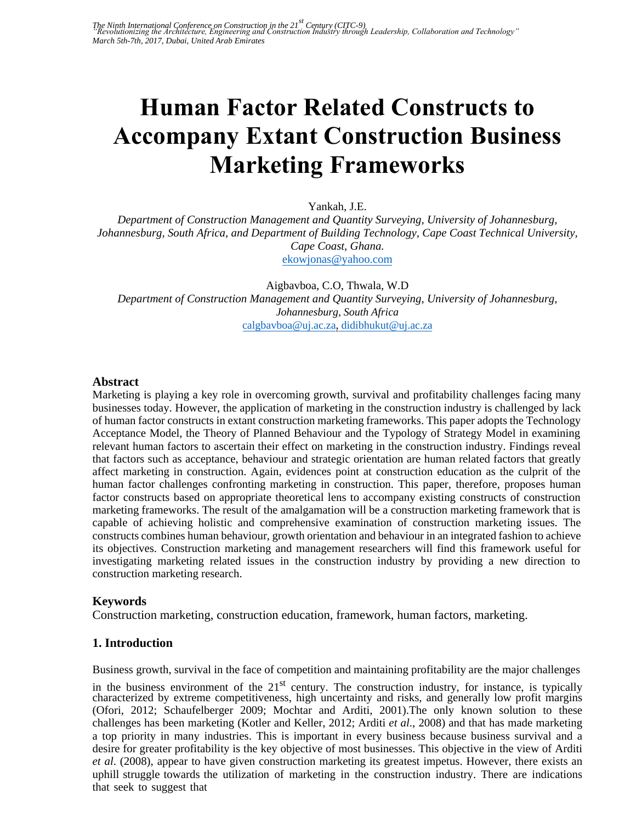# **Human Factor Related Constructs to Accompany Extant Construction Business Marketing Frameworks**

Yankah, J.E.

*Department of Construction Management and Quantity Surveying, University of Johannesburg, Johannesburg, South Africa, and Department of Building Technology, Cape Coast Technical University, [Cape Coast, Ghana.](mailto:ekowjonas@yahoo.com)*  ekowjonas@yahoo.com

Aigbavboa, C.O, Thwala, W.D *Department of Construction Management and Quantity Surveying, University of Johannesburg, [Johannesburg, South Africa](mailto:calgbavboa@uj.ac.za)*  calgbavboa@uj.ac.za, didibhukut@uj.ac.za

#### **Abstract**

Marketing is playing a key role in overcoming growth, survival and profitability challenges facing many businesses today. However, the application of marketing in the construction industry is challenged by lack of human factor constructs in extant construction marketing frameworks. This paper adopts the Technology Acceptance Model, the Theory of Planned Behaviour and the Typology of Strategy Model in examining relevant human factors to ascertain their effect on marketing in the construction industry. Findings reveal that factors such as acceptance, behaviour and strategic orientation are human related factors that greatly affect marketing in construction. Again, evidences point at construction education as the culprit of the human factor challenges confronting marketing in construction. This paper, therefore, proposes human factor constructs based on appropriate theoretical lens to accompany existing constructs of construction marketing frameworks. The result of the amalgamation will be a construction marketing framework that is capable of achieving holistic and comprehensive examination of construction marketing issues. The constructs combines human behaviour, growth orientation and behaviour in an integrated fashion to achieve its objectives. Construction marketing and management researchers will find this framework useful for investigating marketing related issues in the construction industry by providing a new direction to construction marketing research.

# **Keywords**

Construction marketing, construction education, framework, human factors, marketing.

#### **1. Introduction**

Business growth, survival in the face of competition and maintaining profitability are the major challenges

in the business environment of the  $21<sup>st</sup>$  century. The construction industry, for instance, is typically characterized by extreme competitiveness, high uncertainty and risks, and generally low profit margins (Ofori, 2012; Schaufelberger 2009; Mochtar and Arditi, 2001).The only known solution to these challenges has been marketing (Kotler and Keller, 2012; Arditi *et al*., 2008) and that has made marketing a top priority in many industries. This is important in every business because business survival and a desire for greater profitability is the key objective of most businesses. This objective in the view of Arditi *et al*. (2008), appear to have given construction marketing its greatest impetus. However, there exists an uphill struggle towards the utilization of marketing in the construction industry. There are indications that seek to suggest that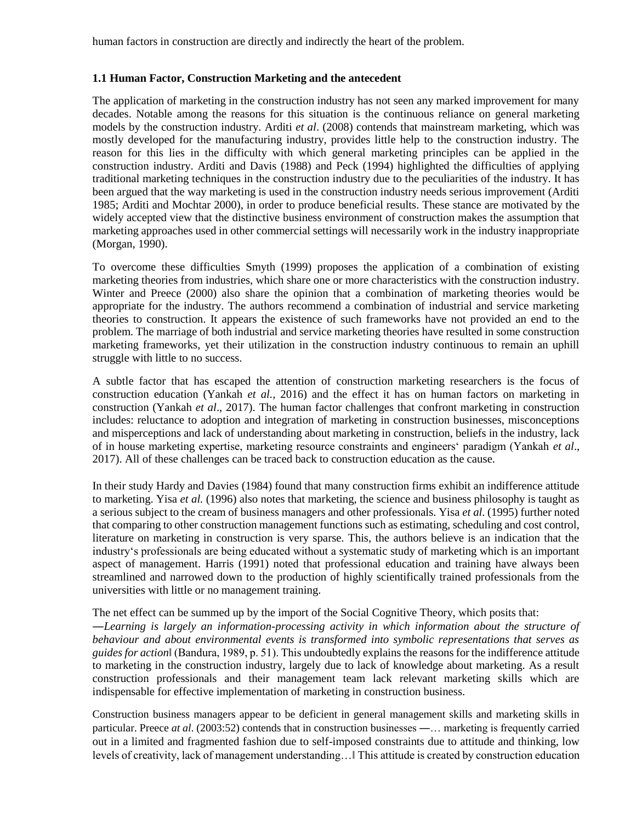human factors in construction are directly and indirectly the heart of the problem.

#### **1.1 Human Factor, Construction Marketing and the antecedent**

The application of marketing in the construction industry has not seen any marked improvement for many decades. Notable among the reasons for this situation is the continuous reliance on general marketing models by the construction industry. Arditi *et al*. (2008) contends that mainstream marketing, which was mostly developed for the manufacturing industry, provides little help to the construction industry. The reason for this lies in the difficulty with which general marketing principles can be applied in the construction industry. Arditi and Davis (1988) and Peck (1994) highlighted the difficulties of applying traditional marketing techniques in the construction industry due to the peculiarities of the industry. It has been argued that the way marketing is used in the construction industry needs serious improvement (Arditi 1985; Arditi and Mochtar 2000), in order to produce beneficial results. These stance are motivated by the widely accepted view that the distinctive business environment of construction makes the assumption that marketing approaches used in other commercial settings will necessarily work in the industry inappropriate (Morgan, 1990).

To overcome these difficulties Smyth (1999) proposes the application of a combination of existing marketing theories from industries, which share one or more characteristics with the construction industry. Winter and Preece (2000) also share the opinion that a combination of marketing theories would be appropriate for the industry. The authors recommend a combination of industrial and service marketing theories to construction. It appears the existence of such frameworks have not provided an end to the problem. The marriage of both industrial and service marketing theories have resulted in some construction marketing frameworks, yet their utilization in the construction industry continuous to remain an uphill struggle with little to no success.

A subtle factor that has escaped the attention of construction marketing researchers is the focus of construction education (Yankah *et al.,* 2016) and the effect it has on human factors on marketing in construction (Yankah *et al*., 2017). The human factor challenges that confront marketing in construction includes: reluctance to adoption and integration of marketing in construction businesses, misconceptions and misperceptions and lack of understanding about marketing in construction, beliefs in the industry, lack of in house marketing expertise, marketing resource constraints and engineers' paradigm (Yankah *et al*., 2017). All of these challenges can be traced back to construction education as the cause.

In their study Hardy and Davies (1984) found that many construction firms exhibit an indifference attitude to marketing. Yisa *et al.* (1996) also notes that marketing, the science and business philosophy is taught as a serious subject to the cream of business managers and other professionals. Yisa *et al*. (1995) further noted that comparing to other construction management functions such as estimating, scheduling and cost control, literature on marketing in construction is very sparse. This, the authors believe is an indication that the industry's professionals are being educated without a systematic study of marketing which is an important aspect of management. Harris (1991) noted that professional education and training have always been streamlined and narrowed down to the production of highly scientifically trained professionals from the universities with little or no management training.

The net effect can be summed up by the import of the Social Cognitive Theory, which posits that:

―*Learning is largely an information-processing activity in which information about the structure of behaviour and about environmental events is transformed into symbolic representations that serves as guides for action*‖ (Bandura, 1989, p. 51). This undoubtedly explains the reasons for the indifference attitude to marketing in the construction industry, largely due to lack of knowledge about marketing. As a result construction professionals and their management team lack relevant marketing skills which are indispensable for effective implementation of marketing in construction business.

Construction business managers appear to be deficient in general management skills and marketing skills in particular. Preece *at al*. (2003:52) contends that in construction businesses ―… marketing is frequently carried out in a limited and fragmented fashion due to self-imposed constraints due to attitude and thinking, low levels of creativity, lack of management understanding…‖ This attitude is created by construction education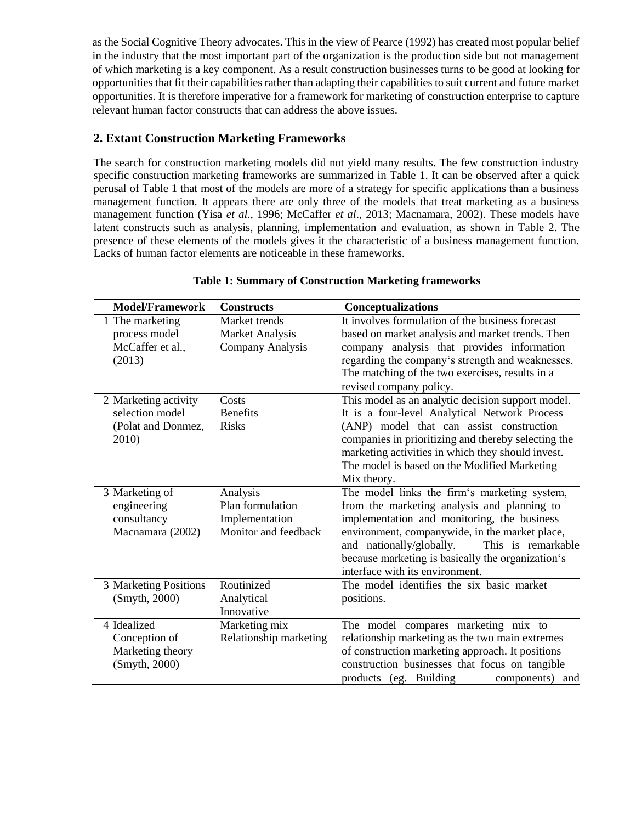as the Social Cognitive Theory advocates. This in the view of Pearce (1992) has created most popular belief in the industry that the most important part of the organization is the production side but not management of which marketing is a key component. As a result construction businesses turns to be good at looking for opportunities that fit their capabilities rather than adapting their capabilities to suit current and future market opportunities. It is therefore imperative for a framework for marketing of construction enterprise to capture relevant human factor constructs that can address the above issues.

# **2. Extant Construction Marketing Frameworks**

The search for construction marketing models did not yield many results. The few construction industry specific construction marketing frameworks are summarized in Table 1. It can be observed after a quick perusal of Table 1 that most of the models are more of a strategy for specific applications than a business management function. It appears there are only three of the models that treat marketing as a business management function (Yisa *et al*., 1996; McCaffer *et al*., 2013; Macnamara, 2002). These models have latent constructs such as analysis, planning, implementation and evaluation, as shown in Table 2. The presence of these elements of the models gives it the characteristic of a business management function. Lacks of human factor elements are noticeable in these frameworks.

| <b>Model/Framework</b> | <b>Constructs</b>      | <b>Conceptualizations</b>                           |
|------------------------|------------------------|-----------------------------------------------------|
| 1 The marketing        | Market trends          | It involves formulation of the business forecast    |
| process model          | <b>Market Analysis</b> | based on market analysis and market trends. Then    |
| McCaffer et al.,       | Company Analysis       | company analysis that provides information          |
| (2013)                 |                        | regarding the company's strength and weaknesses.    |
|                        |                        | The matching of the two exercises, results in a     |
|                        |                        | revised company policy.                             |
| 2 Marketing activity   | Costs                  | This model as an analytic decision support model.   |
| selection model        | <b>Benefits</b>        | It is a four-level Analytical Network Process       |
| (Polat and Donmez,     | <b>Risks</b>           | (ANP) model that can assist construction            |
| 2010)                  |                        | companies in prioritizing and thereby selecting the |
|                        |                        | marketing activities in which they should invest.   |
|                        |                        | The model is based on the Modified Marketing        |
|                        |                        | Mix theory.                                         |
| 3 Marketing of         | Analysis               | The model links the firm's marketing system,        |
| engineering            | Plan formulation       | from the marketing analysis and planning to         |
| consultancy            | Implementation         | implementation and monitoring, the business         |
| Macnamara (2002)       | Monitor and feedback   | environment, companywide, in the market place,      |
|                        |                        | and nationally/globally.<br>This is remarkable      |
|                        |                        | because marketing is basically the organization's   |
|                        |                        | interface with its environment.                     |
| 3 Marketing Positions  | Routinized             | The model identifies the six basic market           |
| (Smyth, 2000)          | Analytical             | positions.                                          |
|                        | Innovative             |                                                     |
| 4 Idealized            | Marketing mix          | The model compares marketing mix to                 |
| Conception of          | Relationship marketing | relationship marketing as the two main extremes     |
| Marketing theory       |                        | of construction marketing approach. It positions    |
| (Smyth, 2000)          |                        | construction businesses that focus on tangible      |
|                        |                        | products (eg. Building<br>components)<br>and        |

### **Table 1: Summary of Construction Marketing frameworks**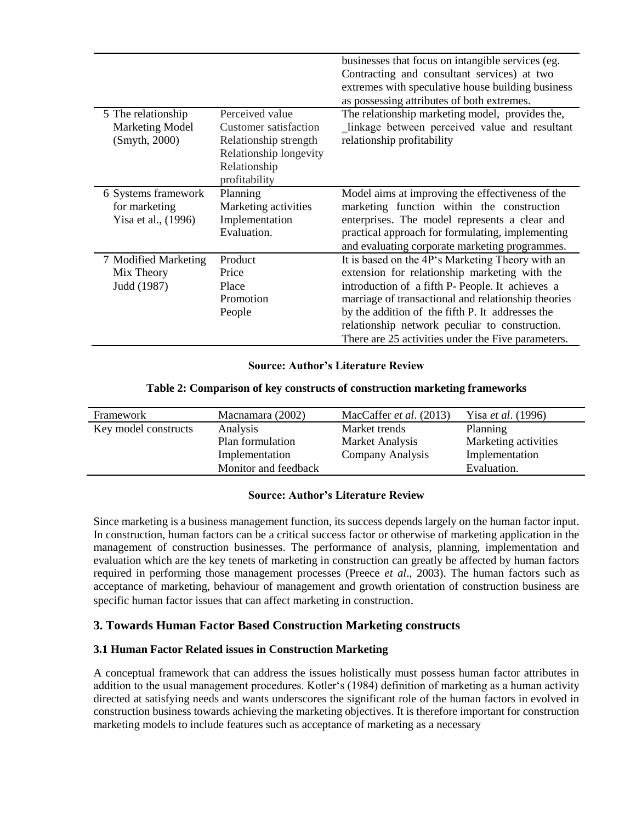|                        |                        | businesses that focus on intangible services (eg.   |  |
|------------------------|------------------------|-----------------------------------------------------|--|
|                        |                        | Contracting and consultant services) at two         |  |
|                        |                        | extremes with speculative house building business   |  |
|                        |                        | as possessing attributes of both extremes.          |  |
| 5 The relationship     | Perceived value        | The relationship marketing model, provides the,     |  |
| <b>Marketing Model</b> | Customer satisfaction  | _linkage between perceived value and resultant      |  |
| (Smyth, 2000)          | Relationship strength  | relationship profitability                          |  |
|                        | Relationship longevity |                                                     |  |
|                        | Relationship           |                                                     |  |
|                        | profitability          |                                                     |  |
| 6 Systems framework    | Planning               | Model aims at improving the effectiveness of the    |  |
| for marketing          | Marketing activities   | marketing function within the construction          |  |
| Yisa et al., (1996)    | Implementation         | enterprises. The model represents a clear and       |  |
|                        | Evaluation.            | practical approach for formulating, implementing    |  |
|                        |                        | and evaluating corporate marketing programmes.      |  |
| 7 Modified Marketing   | Product                | It is based on the 4P's Marketing Theory with an    |  |
| Mix Theory             | Price                  | extension for relationship marketing with the       |  |
| Judd (1987)            | Place                  | introduction of a fifth P- People. It achieves a    |  |
|                        | Promotion              | marriage of transactional and relationship theories |  |
|                        | People                 | by the addition of the fifth P. It addresses the    |  |
|                        |                        | relationship network peculiar to construction.      |  |
|                        |                        | There are 25 activities under the Five parameters.  |  |

#### **Source: Author's Literature Review**

#### **Table 2: Comparison of key constructs of construction marketing frameworks**

| Framework            | Macnamara (2002)     | MacCaffer et al. (2013) | Yisa et al. (1996)   |
|----------------------|----------------------|-------------------------|----------------------|
| Key model constructs | Analysis             | Market trends           | Planning             |
|                      | Plan formulation     | Market Analysis         | Marketing activities |
|                      | Implementation       | Company Analysis        | Implementation       |
|                      | Monitor and feedback |                         | Evaluation.          |
|                      |                      |                         |                      |

#### **Source: Author's Literature Review**

Since marketing is a business management function, its success depends largely on the human factor input. In construction, human factors can be a critical success factor or otherwise of marketing application in the management of construction businesses. The performance of analysis, planning, implementation and evaluation which are the key tenets of marketing in construction can greatly be affected by human factors required in performing those management processes (Preece *et al*., 2003). The human factors such as acceptance of marketing, behaviour of management and growth orientation of construction business are specific human factor issues that can affect marketing in construction.

# **3. Towards Human Factor Based Construction Marketing constructs**

#### **3.1 Human Factor Related issues in Construction Marketing**

A conceptual framework that can address the issues holistically must possess human factor attributes in addition to the usual management procedures. Kotler's (1984) definition of marketing as a human activity directed at satisfying needs and wants underscores the significant role of the human factors in evolved in construction business towards achieving the marketing objectives. It is therefore important for construction marketing models to include features such as acceptance of marketing as a necessary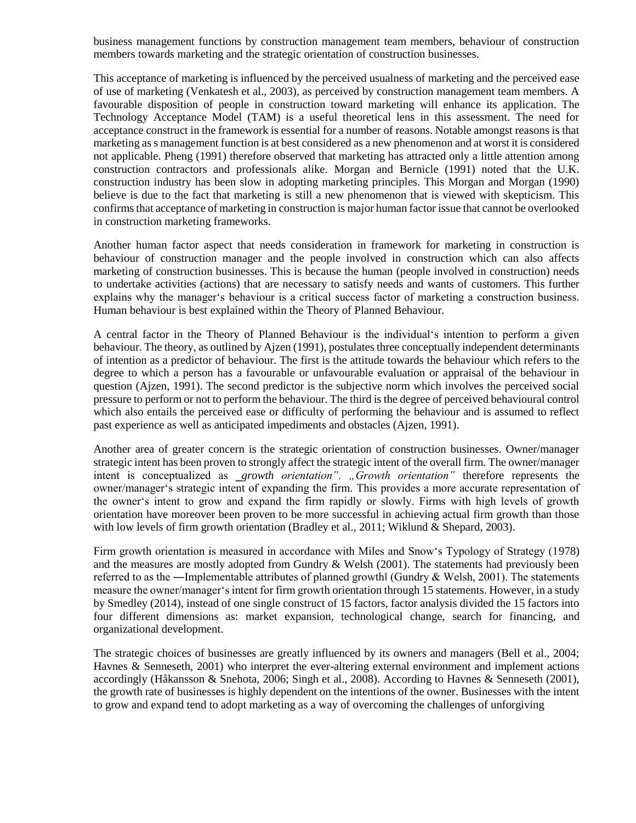business management functions by construction management team members, behaviour of construction members towards marketing and the strategic orientation of construction businesses.

This acceptance of marketing is influenced by the perceived usualness of marketing and the perceived ease of use of marketing (Venkatesh et al., 2003), as perceived by construction management team members. A favourable disposition of people in construction toward marketing will enhance its application. The Technology Acceptance Model (TAM) is a useful theoretical lens in this assessment. The need for acceptance construct in the framework is essential for a number of reasons. Notable amongst reasons is that marketing as s management function is at best considered as a new phenomenon and at worst it is considered not applicable. Pheng (1991) therefore observed that marketing has attracted only a little attention among construction contractors and professionals alike. Morgan and Bernicle (1991) noted that the U.K. construction industry has been slow in adopting marketing principles. This Morgan and Morgan (1990) believe is due to the fact that marketing is still a new phenomenon that is viewed with skepticism. This confirms that acceptance of marketing in construction is major human factor issue that cannot be overlooked in construction marketing frameworks.

Another human factor aspect that needs consideration in framework for marketing in construction is behaviour of construction manager and the people involved in construction which can also affects marketing of construction businesses. This is because the human (people involved in construction) needs to undertake activities (actions) that are necessary to satisfy needs and wants of customers. This further explains why the manager's behaviour is a critical success factor of marketing a construction business. Human behaviour is best explained within the Theory of Planned Behaviour.

A central factor in the Theory of Planned Behaviour is the individual's intention to perform a given behaviour. The theory, as outlined by Ajzen (1991), postulates three conceptually independent determinants of intention as a predictor of behaviour. The first is the attitude towards the behaviour which refers to the degree to which a person has a favourable or unfavourable evaluation or appraisal of the behaviour in question (Ajzen, 1991). The second predictor is the subjective norm which involves the perceived social pressure to perform or not to perform the behaviour. The third is the degree of perceived behavioural control which also entails the perceived ease or difficulty of performing the behaviour and is assumed to reflect past experience as well as anticipated impediments and obstacles (Ajzen, 1991).

Another area of greater concern is the strategic orientation of construction businesses. Owner/manager strategic intent has been proven to strongly affect the strategic intent of the overall firm. The owner/manager intent is conceptualized as *growth orientation*". "Growth *orientation*" therefore represents the owner/manager's strategic intent of expanding the firm. This provides a more accurate representation of the owner's intent to grow and expand the firm rapidly or slowly. Firms with high levels of growth orientation have moreover been proven to be more successful in achieving actual firm growth than those with low levels of firm growth orientation (Bradley et al., 2011; Wiklund & Shepard, 2003).

Firm growth orientation is measured in accordance with Miles and Snow's Typology of Strategy (1978) and the measures are mostly adopted from Gundry & Welsh (2001). The statements had previously been referred to as the —Implementable attributes of planned growthl (Gundry & Welsh, 2001). The statements measure the owner/manager's intent for firm growth orientation through 15 statements. However, in a study by Smedley (2014), instead of one single construct of 15 factors, factor analysis divided the 15 factors into four different dimensions as: market expansion, technological change, search for financing, and organizational development.

The strategic choices of businesses are greatly influenced by its owners and managers (Bell et al., 2004; Havnes & Senneseth, 2001) who interpret the ever-altering external environment and implement actions accordingly (Håkansson & Snehota, 2006; Singh et al., 2008). According to Havnes & Senneseth (2001), the growth rate of businesses is highly dependent on the intentions of the owner. Businesses with the intent to grow and expand tend to adopt marketing as a way of overcoming the challenges of unforgiving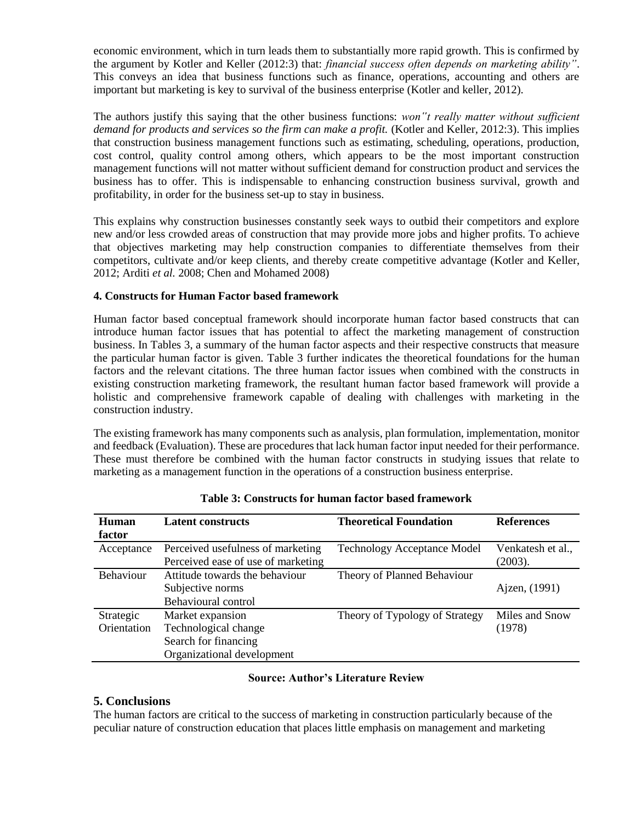economic environment, which in turn leads them to substantially more rapid growth. This is confirmed by the argument by Kotler and Keller (2012:3) that: *financial success often depends on marketing ability"*. This conveys an idea that business functions such as finance, operations, accounting and others are important but marketing is key to survival of the business enterprise (Kotler and keller, 2012).

The authors justify this saying that the other business functions: *won"t really matter without sufficient* demand for products and services so the firm can make a profit. (Kotler and Keller, 2012:3). This implies that construction business management functions such as estimating, scheduling, operations, production, cost control, quality control among others, which appears to be the most important construction management functions will not matter without sufficient demand for construction product and services the business has to offer. This is indispensable to enhancing construction business survival, growth and profitability, in order for the business set-up to stay in business.

This explains why construction businesses constantly seek ways to outbid their competitors and explore new and/or less crowded areas of construction that may provide more jobs and higher profits. To achieve that objectives marketing may help construction companies to differentiate themselves from their competitors, cultivate and/or keep clients, and thereby create competitive advantage (Kotler and Keller, 2012; Arditi *et al.* 2008; Chen and Mohamed 2008)

#### **4. Constructs for Human Factor based framework**

Human factor based conceptual framework should incorporate human factor based constructs that can introduce human factor issues that has potential to affect the marketing management of construction business. In Tables 3, a summary of the human factor aspects and their respective constructs that measure the particular human factor is given. Table 3 further indicates the theoretical foundations for the human factors and the relevant citations. The three human factor issues when combined with the constructs in existing construction marketing framework, the resultant human factor based framework will provide a holistic and comprehensive framework capable of dealing with challenges with marketing in the construction industry.

The existing framework has many components such as analysis, plan formulation, implementation, monitor and feedback (Evaluation). These are procedures that lack human factor input needed for their performance. These must therefore be combined with the human factor constructs in studying issues that relate to marketing as a management function in the operations of a construction business enterprise.

| Human<br>factor  | <b>Latent constructs</b>           | <b>Theoretical Foundation</b>      | <b>References</b> |
|------------------|------------------------------------|------------------------------------|-------------------|
| Acceptance       | Perceived usefulness of marketing  | <b>Technology Acceptance Model</b> | Venkatesh et al., |
|                  | Perceived ease of use of marketing |                                    | (2003).           |
| <b>Behaviour</b> | Attitude towards the behaviour     | Theory of Planned Behaviour        |                   |
|                  | Subjective norms                   |                                    | Ajzen, (1991)     |
|                  | Behavioural control                |                                    |                   |
| Strategic        | Market expansion                   | Theory of Typology of Strategy     | Miles and Snow    |
| Orientation      | Technological change               |                                    | (1978)            |
|                  | Search for financing               |                                    |                   |
|                  | Organizational development         |                                    |                   |

# **Table 3: Constructs for human factor based framework**

#### **Source: Author's Literature Review**

#### **5. Conclusions**

The human factors are critical to the success of marketing in construction particularly because of the peculiar nature of construction education that places little emphasis on management and marketing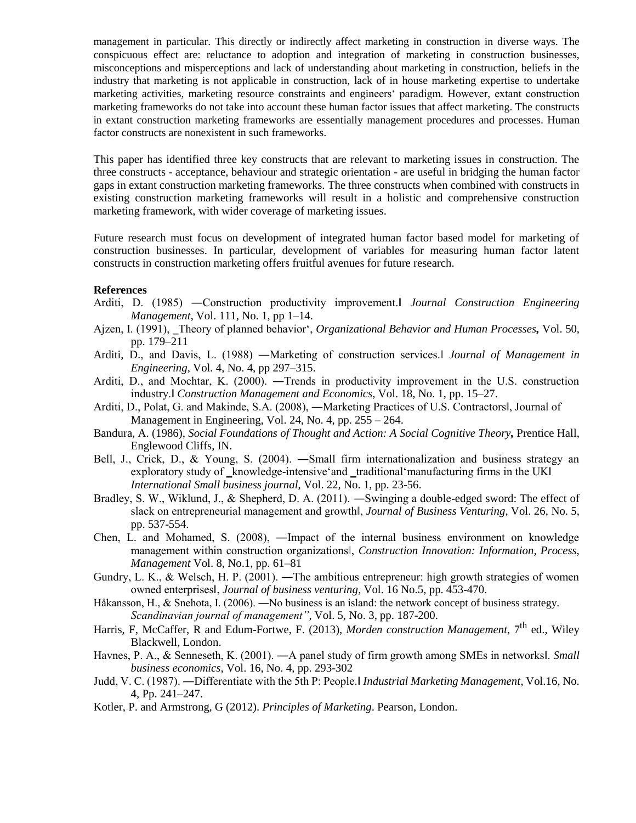management in particular. This directly or indirectly affect marketing in construction in diverse ways. The conspicuous effect are: reluctance to adoption and integration of marketing in construction businesses, misconceptions and misperceptions and lack of understanding about marketing in construction, beliefs in the industry that marketing is not applicable in construction, lack of in house marketing expertise to undertake marketing activities, marketing resource constraints and engineers' paradigm. However, extant construction marketing frameworks do not take into account these human factor issues that affect marketing. The constructs in extant construction marketing frameworks are essentially management procedures and processes. Human factor constructs are nonexistent in such frameworks.

This paper has identified three key constructs that are relevant to marketing issues in construction. The three constructs - acceptance, behaviour and strategic orientation - are useful in bridging the human factor gaps in extant construction marketing frameworks. The three constructs when combined with constructs in existing construction marketing frameworks will result in a holistic and comprehensive construction marketing framework, with wider coverage of marketing issues.

Future research must focus on development of integrated human factor based model for marketing of construction businesses. In particular, development of variables for measuring human factor latent constructs in construction marketing offers fruitful avenues for future research.

#### **References**

- Arditi, D. (1985) ―Construction productivity improvement.‖ *Journal Construction Engineering Management*, Vol. 111, No. 1, pp 1–14.
- Ajzen, I. (1991), ‗Theory of planned behavior', *Organizational Behavior and Human Processes,* Vol. 50, pp. 179–211
- Arditi, D., and Davis, L. (1988) ―Marketing of construction services.‖ *Journal of Management in Engineering,* Vol*.* 4, No. 4, pp 297–315.
- Arditi, D., and Mochtar, K. (2000). ―Trends in productivity improvement in the U.S. construction industry.‖ *Construction Management and Economics*, Vol. 18, No. 1, pp. 15–27.
- Arditi, D., Polat, G. and Makinde, S.A. (2008), ―Marketing Practices of U.S. Contractors‖, Journal of Management in Engineering, Vol. 24, No. 4, pp. 255 – 264.
- Bandura, A. (1986), *Social Foundations of Thought and Action: A Social Cognitive Theory,* Prentice Hall, Englewood Cliffs, IN.
- Bell, J., Crick, D., & Young, S. (2004). ―Small firm internationalization and business strategy an exploratory study of knowledge-intensive and traditional manufacturing firms in the UK *International Small business journal*, Vol. 22, No. 1, pp. 23-56.
- Bradley, S. W., Wiklund, J., & Shepherd, D. A. (2011). ―Swinging a double-edged sword: The effect of slack on entrepreneurial management and growth‖, *Journal of Business Venturing*, Vol. 26, No. 5, pp. 537-554.
- Chen, L. and Mohamed, S. (2008), ―Impact of the internal business environment on knowledge management within construction organizations‖, *Construction Innovation: Information, Process, Management* Vol. 8, No.1, pp. 61–81
- Gundry, L. K., & Welsch, H. P. (2001). —The ambitious entrepreneur: high growth strategies of women owned enterprises‖, *Journal of business venturing*, Vol. 16 No.5, pp. 453-470.
- Håkansson, H., & Snehota, I. (2006). ―No business is an island: the network concept of business strategy. *Scandinavian journal of management"*, Vol. 5, No. 3, pp. 187-200.
- Harris, F, McCaffer, R and Edum-Fortwe, F. (2013), *Morden construction Management*, 7<sup>th</sup> ed., Wiley Blackwell, London.
- Havnes, P. A., & Senneseth, K. (2001). ―A panel study of firm growth among SMEs in networks‖. *Small business economics*, Vol. 16, No. 4, pp. 293-302
- Judd, V. C. (1987). ―Differentiate with the 5th P: People.‖ *Industrial Marketing Management*, Vol.16, No. 4, Pp. 241–247.
- Kotler, P. and Armstrong, G (2012). *Principles of Marketing*. Pearson, London.